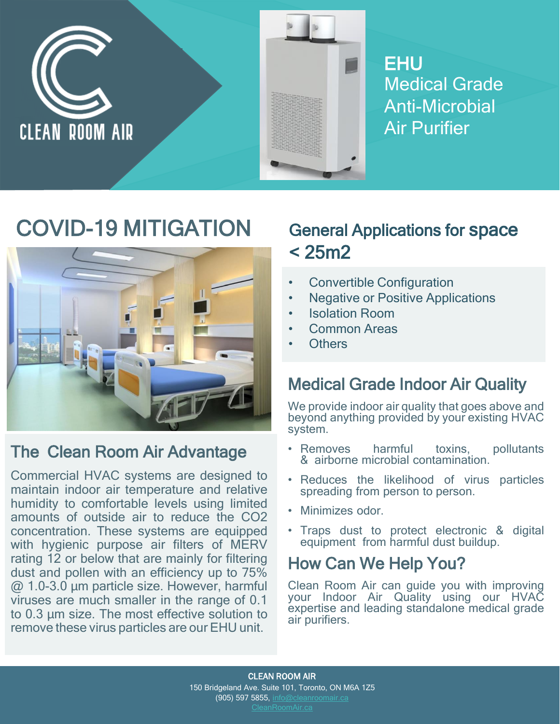

**EHU** Medical Grade Anti-Microbial Air Purifier

# COVID-19 MITIGATION



# The Clean Room Air Advantage

Commercial HVAC systems are designed to maintain indoor air temperature and relative humidity to comfortable levels using limited amounts of outside air to reduce the CO2 concentration. These systems are equipped with hygienic purpose air filters of MERV rating 12 or below that are mainly for filtering dust and pollen with an efficiency up to 75% @ 1.0-3.0 μm particle size. However, harmful viruses are much smaller in the range of 0.1 to 0.3 μm size. The most effective solution to remove these virus particles are our EHU unit.

# General Applications for space  $< 25m2$

- Convertible Configuration
- **Negative or Positive Applications**
- Isolation Room
- Common Areas
- **Others**

# Medical Grade Indoor Air Quality

We provide indoor air quality that goes above and beyond anything provided by your existing HVAC system.

- Removes harmful toxins, pollutants & airborne microbial contamination.
- Reduces the likelihood of virus particles spreading from person to person.
- Minimizes odor.
- Traps dust to protect electronic & digital equipment from harmful dust buildup.

### How Can We Help You?

Clean Room Air can guide you with improving your Indoor Air Quality using our HVAC expertise and leading standalone medical grade air purifiers.